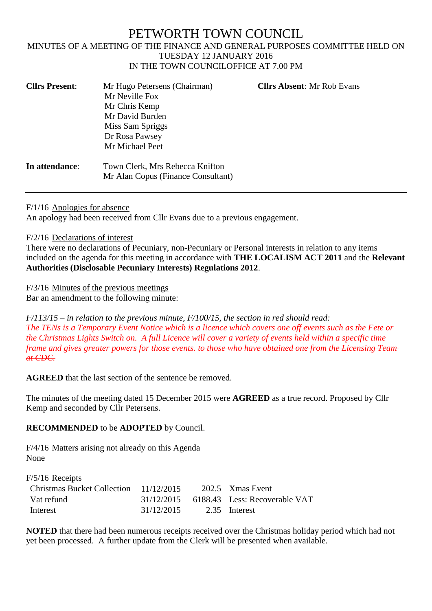## PETWORTH TOWN COUNCIL MINUTES OF A MEETING OF THE FINANCE AND GENERAL PURPOSES COMMITTEE HELD ON TUESDAY 12 JANUARY 2016 IN THE TOWN COUNCILOFFICE AT 7.00 PM

| <b>Cllrs Present:</b> | Mr Hugo Petersens (Chairman)<br>Mr Neville Fox<br>Mr Chris Kemp<br>Mr David Burden<br>Miss Sam Spriggs<br>Dr Rosa Pawsey | <b>Cllrs Absent: Mr Rob Evans</b> |
|-----------------------|--------------------------------------------------------------------------------------------------------------------------|-----------------------------------|
| In attendance:        | Mr Michael Peet<br>Town Clerk, Mrs Rebecca Knifton<br>Mr Alan Copus (Finance Consultant)                                 |                                   |

F/1/16 Apologies for absence

An apology had been received from Cllr Evans due to a previous engagement.

F/2/16 Declarations of interest

There were no declarations of Pecuniary, non-Pecuniary or Personal interests in relation to any items included on the agenda for this meeting in accordance with **THE LOCALISM ACT 2011** and the **Relevant Authorities (Disclosable Pecuniary Interests) Regulations 2012**.

F/3/16 Minutes of the previous meetings

Bar an amendment to the following minute:

*F/113/15 – in relation to the previous minute, F/100/15, the section in red should read: The TENs is a Temporary Event Notice which is a licence which covers one off events such as the Fete or the Christmas Lights Switch on. A full Licence will cover a variety of events held within a specific time frame and gives greater powers for those events. to those who have obtained one from the Licensing Team at CDC.*

**AGREED** that the last section of the sentence be removed.

The minutes of the meeting dated 15 December 2015 were **AGREED** as a true record. Proposed by Cllr Kemp and seconded by Cllr Petersens.

## **RECOMMENDED** to be **ADOPTED** by Council.

F/4/16 Matters arising not already on this Agenda None

| $F/5/16$ Receipts                      |            |                                            |
|----------------------------------------|------------|--------------------------------------------|
| Christmas Bucket Collection 11/12/2015 |            | 202.5 Xmas Event                           |
| Vat refund                             |            | $31/12/2015$ 6188.43 Less: Recoverable VAT |
| Interest                               | 31/12/2015 | 2.35 Interest                              |

**NOTED** that there had been numerous receipts received over the Christmas holiday period which had not yet been processed. A further update from the Clerk will be presented when available.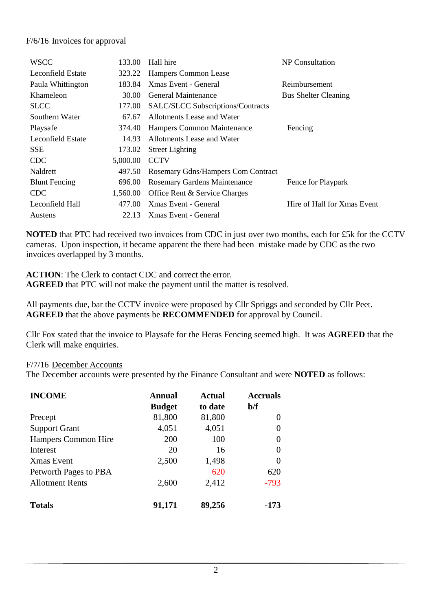## F/6/16 Invoices for approval

| <b>WSCC</b>              | 133.00   | Hall hire                           | NP Consultation             |
|--------------------------|----------|-------------------------------------|-----------------------------|
| <b>Leconfield Estate</b> | 323.22   | Hampers Common Lease                |                             |
| Paula Whittington        | 183.84   | Xmas Event - General                | Reimbursement               |
| Khameleon                | 30.00    | General Maintenance                 | <b>Bus Shelter Cleaning</b> |
| <b>SLCC</b>              | 177.00   | SALC/SLCC Subscriptions/Contracts   |                             |
| Southern Water           | 67.67    | Allotments Lease and Water          |                             |
| Playsafe                 | 374.40   | Hampers Common Maintenance          | Fencing                     |
| Leconfield Estate        | 14.93    | Allotments Lease and Water          |                             |
| <b>SSE</b>               | 173.02   | <b>Street Lighting</b>              |                             |
| <b>CDC</b>               | 5,000.00 | <b>CCTV</b>                         |                             |
| Naldrett                 | 497.50   | Rosemary Gdns/Hampers Com Contract  |                             |
| <b>Blunt Fencing</b>     | 696.00   | <b>Rosemary Gardens Maintenance</b> | Fence for Playpark          |
| <b>CDC</b>               | 1,560.00 | Office Rent & Service Charges       |                             |
| Leconfield Hall          | 477.00   | Xmas Event - General                | Hire of Hall for Xmas Event |
| Austens                  | 22.13    | Xmas Event - General                |                             |

**NOTED** that PTC had received two invoices from CDC in just over two months, each for £5k for the CCTV cameras. Upon inspection, it became apparent the there had been mistake made by CDC as the two invoices overlapped by 3 months.

**ACTION:** The Clerk to contact CDC and correct the error. **AGREED** that PTC will not make the payment until the matter is resolved.

All payments due, bar the CCTV invoice were proposed by Cllr Spriggs and seconded by Cllr Peet. **AGREED** that the above payments be **RECOMMENDED** for approval by Council.

Cllr Fox stated that the invoice to Playsafe for the Heras Fencing seemed high. It was **AGREED** that the Clerk will make enquiries.

F/7/16 December Accounts

The December accounts were presented by the Finance Consultant and were **NOTED** as follows:

| <b>INCOME</b>          | Annual        | <b>Actual</b> | <b>Accruals</b> |
|------------------------|---------------|---------------|-----------------|
|                        | <b>Budget</b> | to date       | $b/f$           |
| Precept                | 81,800        | 81,800        | 0               |
| <b>Support Grant</b>   | 4,051         | 4,051         | 0               |
| Hampers Common Hire    | 200           | 100           | $\theta$        |
| Interest               | 20            | 16            | $\Omega$        |
| <b>X</b> mas Event     | 2,500         | 1,498         | $\Omega$        |
| Petworth Pages to PBA  |               | 620           | 620             |
| <b>Allotment Rents</b> | 2,600         | 2,412         | $-793$          |
| <b>Totals</b>          | 91,171        | 89,256        | $-173$          |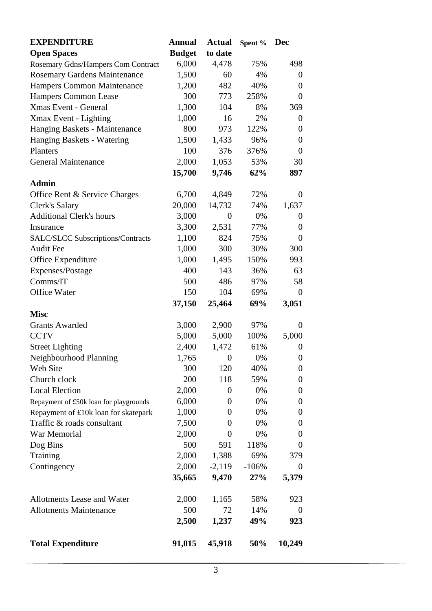| <b>EXPENDITURE</b>                     | <b>Annual</b> | <b>Actual</b>    | Spent % | <b>Dec</b>       |
|----------------------------------------|---------------|------------------|---------|------------------|
| <b>Open Spaces</b>                     | <b>Budget</b> | to date          |         |                  |
| Rosemary Gdns/Hampers Com Contract     | 6,000         | 4,478            | 75%     | 498              |
| <b>Rosemary Gardens Maintenance</b>    | 1,500         | 60               | 4%      | $\boldsymbol{0}$ |
| Hampers Common Maintenance             | 1,200         | 482              | 40%     | $\overline{0}$   |
| Hampers Common Lease                   | 300           | 773              | 258%    | $\overline{0}$   |
| <b>Xmas Event - General</b>            | 1,300         | 104              | 8%      | 369              |
| Xmax Event - Lighting                  | 1,000         | 16               | 2%      | $\boldsymbol{0}$ |
| Hanging Baskets - Maintenance          | 800           | 973              | 122%    | $\boldsymbol{0}$ |
| Hanging Baskets - Watering             | 1,500         | 1,433            | 96%     | $\boldsymbol{0}$ |
| Planters                               | 100           | 376              | 376%    | $\overline{0}$   |
| <b>General Maintenance</b>             | 2,000         | 1,053            | 53%     | 30               |
|                                        | 15,700        | 9,746            | 62%     | 897              |
| <b>Admin</b>                           |               |                  |         |                  |
| Office Rent & Service Charges          | 6,700         | 4,849            | 72%     | $\overline{0}$   |
| Clerk's Salary                         | 20,000        | 14,732           | 74%     | 1,637            |
| <b>Additional Clerk's hours</b>        | 3,000         | $\boldsymbol{0}$ | 0%      | $\overline{0}$   |
| Insurance                              | 3,300         | 2,531            | 77%     | $\overline{0}$   |
| SALC/SLCC Subscriptions/Contracts      | 1,100         | 824              | 75%     | $\overline{0}$   |
| <b>Audit Fee</b>                       | 1,000         | 300              | 30%     | 300              |
| Office Expenditure                     | 1,000         | 1,495            | 150%    | 993              |
| Expenses/Postage                       | 400           | 143              | 36%     | 63               |
| Comms/IT                               | 500           | 486              | 97%     | 58               |
| <b>Office Water</b>                    | 150           | 104              | 69%     | $\overline{0}$   |
|                                        | 37,150        | 25,464           | 69%     | 3,051            |
| <b>Misc</b>                            |               |                  |         |                  |
| <b>Grants Awarded</b>                  | 3,000         | 2,900            | 97%     | $\overline{0}$   |
| <b>CCTV</b>                            | 5,000         | 5,000            | 100%    | 5,000            |
| <b>Street Lighting</b>                 | 2,400         | 1,472            | 61%     | $\theta$         |
| Neighbourhood Planning                 | 1,765         | $\overline{0}$   | 0%      | 0                |
| Web Site                               | 300           | 120              | 40%     | $\boldsymbol{0}$ |
| Church clock                           | 200           | 118              | 59%     | $\boldsymbol{0}$ |
| <b>Local Election</b>                  | 2,000         | 0                | 0%      | $\boldsymbol{0}$ |
| Repayment of £50k loan for playgrounds | 6,000         | 0                | 0%      | $\overline{0}$   |
| Repayment of £10k loan for skatepark   | 1,000         | 0                | 0%      | $\boldsymbol{0}$ |
| Traffic & roads consultant             | 7,500         | 0                | 0%      | $\boldsymbol{0}$ |
| War Memorial                           | 2,000         | 0                | 0%      | $\overline{0}$   |
| Dog Bins                               | 500           | 591              | 118%    | 0                |
| Training                               | 2,000         | 1,388            | 69%     | 379              |
| Contingency                            | 2,000         | $-2,119$         | $-106%$ | $\overline{0}$   |
|                                        | 35,665        | 9,470            | 27%     | 5,379            |
|                                        |               |                  |         |                  |
| Allotments Lease and Water             | 2,000         | 1,165            | 58%     | 923              |
| <b>Allotments Maintenance</b>          | 500           | 72               | 14%     | $\theta$         |
|                                        | 2,500         | 1,237            | 49%     | 923              |
| <b>Total Expenditure</b>               | 91,015        | 45,918           | 50%     | 10,249           |